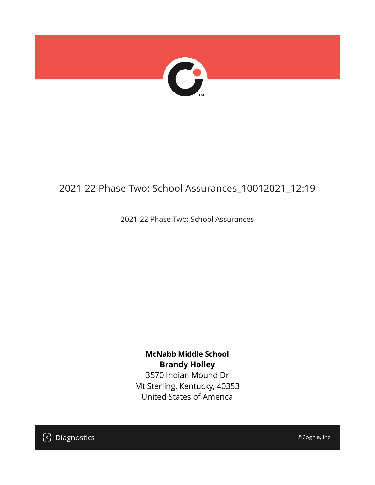

# 2021-22 Phase Two: School Assurances\_10012021\_12:19

2021-22 Phase Two: School Assurances

**McNabb Middle School Brandy Holley** 3570 Indian Mound Dr Mt Sterling, Kentucky, 40353 United States of America

[၁] Diagnostics

©Cognia, Inc.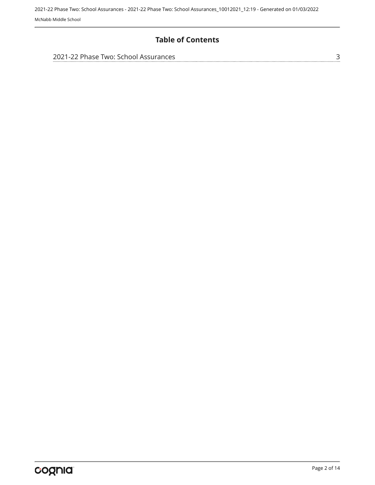#### **Table of Contents**

| 2021-22 Phase Two: School Assurances |  |
|--------------------------------------|--|
|                                      |  |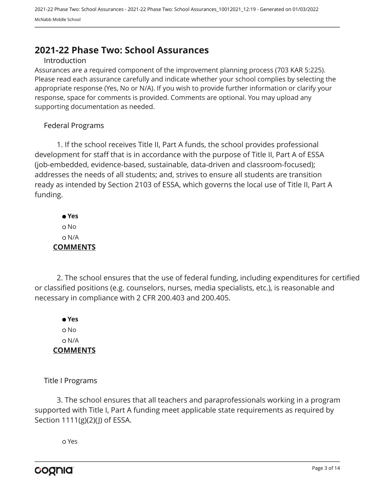# <span id="page-2-0"></span>**2021-22 Phase Two: School Assurances**

#### Introduction

Assurances are a required component of the improvement planning process (703 KAR 5:225). Please read each assurance carefully and indicate whether your school complies by selecting the appropriate response (Yes, No or N/A). If you wish to provide further information or clarify your response, space for comments is provided. Comments are optional. You may upload any supporting documentation as needed.

#### Federal Programs

1. If the school receives Title II, Part A funds, the school provides professional development for staff that is in accordance with the purpose of Title II, Part A of ESSA (job-embedded, evidence-based, sustainable, data-driven and classroom-focused); addresses the needs of all students; and, strives to ensure all students are transition ready as intended by Section 2103 of ESSA, which governs the local use of Title II, Part A funding.

 **Yes** o No N/A **COMMENTS**

2. The school ensures that the use of federal funding, including expenditures for certified or classified positions (e.g. counselors, nurses, media specialists, etc.), is reasonable and necessary in compliance with 2 CFR 200.403 and 200.405.

 **Yes** o No N/A **COMMENTS**

Title I Programs

3. The school ensures that all teachers and paraprofessionals working in a program supported with Title I, Part A funding meet applicable state requirements as required by Section 1111(g)(2)(J) of ESSA.

Yes

cognia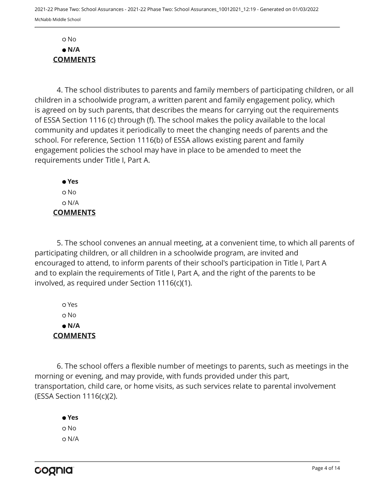No  **N/A COMMENTS**

4. The school distributes to parents and family members of participating children, or all children in a schoolwide program, a written parent and family engagement policy, which is agreed on by such parents, that describes the means for carrying out the requirements of ESSA Section 1116 (c) through (f). The school makes the policy available to the local community and updates it periodically to meet the changing needs of parents and the school. For reference, Section 1116(b) of ESSA allows existing parent and family engagement policies the school may have in place to be amended to meet the requirements under Title I, Part A.

 **Yes** No N/A **COMMENTS**

5. The school convenes an annual meeting, at a convenient time, to which all parents of participating children, or all children in a schoolwide program, are invited and encouraged to attend, to inform parents of their school's participation in Title I, Part A and to explain the requirements of Title I, Part A, and the right of the parents to be involved, as required under Section 1116(c)(1).

 Yes o No  **N/A COMMENTS**

6. The school offers a flexible number of meetings to parents, such as meetings in the morning or evening, and may provide, with funds provided under this part, transportation, child care, or home visits, as such services relate to parental involvement (ESSA Section 1116(c)(2).

 **Yes** o No N/A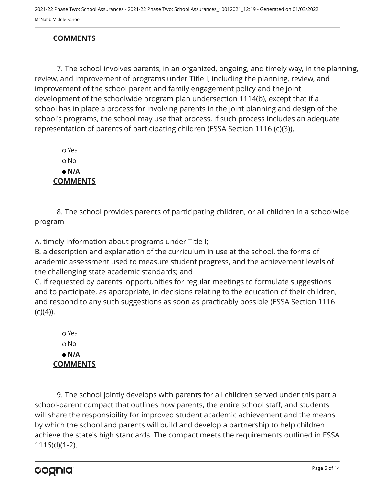## **COMMENTS**

7. The school involves parents, in an organized, ongoing, and timely way, in the planning, review, and improvement of programs under Title I, including the planning, review, and improvement of the school parent and family engagement policy and the joint development of the schoolwide program plan undersection 1114(b), except that if a school has in place a process for involving parents in the joint planning and design of the school's programs, the school may use that process, if such process includes an adequate representation of parents of participating children (ESSA Section 1116 (c)(3)).

 Yes o No  **N/A COMMENTS**

8. The school provides parents of participating children, or all children in a schoolwide program—

A. timely information about programs under Title I;

B. a description and explanation of the curriculum in use at the school, the forms of academic assessment used to measure student progress, and the achievement levels of the challenging state academic standards; and

C. if requested by parents, opportunities for regular meetings to formulate suggestions and to participate, as appropriate, in decisions relating to the education of their children, and respond to any such suggestions as soon as practicably possible (ESSA Section 1116  $(c)(4)$ ).

 Yes o No  **N/A COMMENTS**

9. The school jointly develops with parents for all children served under this part a school-parent compact that outlines how parents, the entire school staff, and students will share the responsibility for improved student academic achievement and the means by which the school and parents will build and develop a partnership to help children achieve the state's high standards. The compact meets the requirements outlined in ESSA 1116(d)(1-2).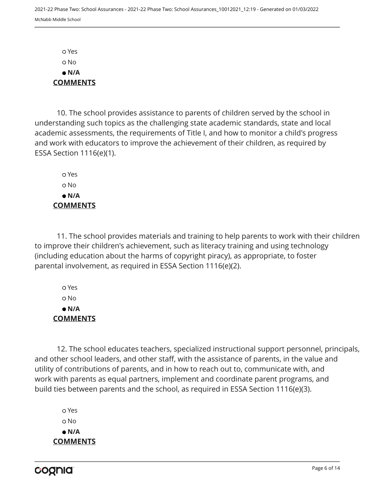Yes No  **N/A COMMENTS**

10. The school provides assistance to parents of children served by the school in understanding such topics as the challenging state academic standards, state and local academic assessments, the requirements of Title I, and how to monitor a child's progress and work with educators to improve the achievement of their children, as required by ESSA Section 1116(e)(1).

 Yes o No  **N/A COMMENTS**

11. The school provides materials and training to help parents to work with their children to improve their children's achievement, such as literacy training and using technology (including education about the harms of copyright piracy), as appropriate, to foster parental involvement, as required in ESSA Section 1116(e)(2).

 Yes No  **N/A COMMENTS**

12. The school educates teachers, specialized instructional support personnel, principals, and other school leaders, and other staff, with the assistance of parents, in the value and utility of contributions of parents, and in how to reach out to, communicate with, and work with parents as equal partners, implement and coordinate parent programs, and build ties between parents and the school, as required in ESSA Section 1116(e)(3).

 Yes o No  **N/A COMMENTS**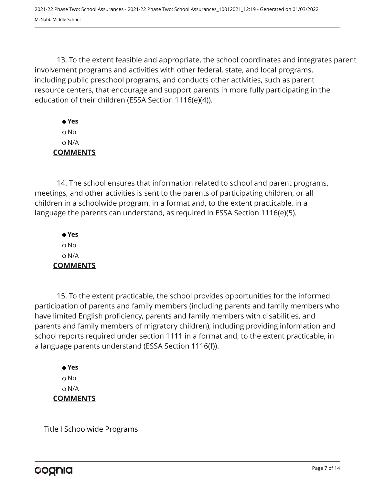13. To the extent feasible and appropriate, the school coordinates and integrates parent involvement programs and activities with other federal, state, and local programs, including public preschool programs, and conducts other activities, such as parent resource centers, that encourage and support parents in more fully participating in the education of their children (ESSA Section 1116(e)(4)).

 **Yes** No N/A **COMMENTS**

14. The school ensures that information related to school and parent programs, meetings, and other activities is sent to the parents of participating children, or all children in a schoolwide program, in a format and, to the extent practicable, in a language the parents can understand, as required in ESSA Section 1116(e)(5).

 **Yes** o No N/A **COMMENTS**

15. To the extent practicable, the school provides opportunities for the informed participation of parents and family members (including parents and family members who have limited English proficiency, parents and family members with disabilities, and parents and family members of migratory children), including providing information and school reports required under section 1111 in a format and, to the extent practicable, in a language parents understand (ESSA Section 1116(f)).

 **Yes** o No N/A **COMMENTS**

Title I Schoolwide Programs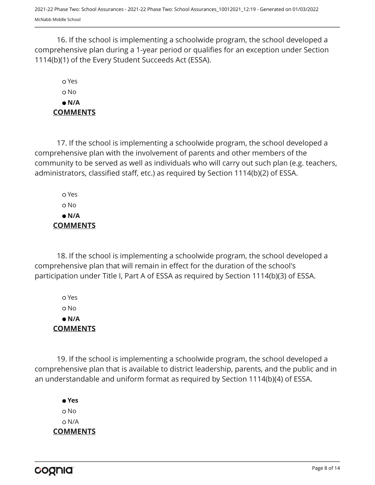16. If the school is implementing a schoolwide program, the school developed a comprehensive plan during a 1-year period or qualifies for an exception under Section 1114(b)(1) of the Every Student Succeeds Act (ESSA).

# Yes No  **N/A COMMENTS**

17. If the school is implementing a schoolwide program, the school developed a comprehensive plan with the involvement of parents and other members of the community to be served as well as individuals who will carry out such plan (e.g. teachers, administrators, classified staff, etc.) as required by Section 1114(b)(2) of ESSA.

 Yes No  **N/A COMMENTS**

18. If the school is implementing a schoolwide program, the school developed a comprehensive plan that will remain in effect for the duration of the school's participation under Title I, Part A of ESSA as required by Section 1114(b)(3) of ESSA.

 Yes No  **N/A COMMENTS**

19. If the school is implementing a schoolwide program, the school developed a comprehensive plan that is available to district leadership, parents, and the public and in an understandable and uniform format as required by Section 1114(b)(4) of ESSA.

 **Yes** o No N/A **COMMENTS**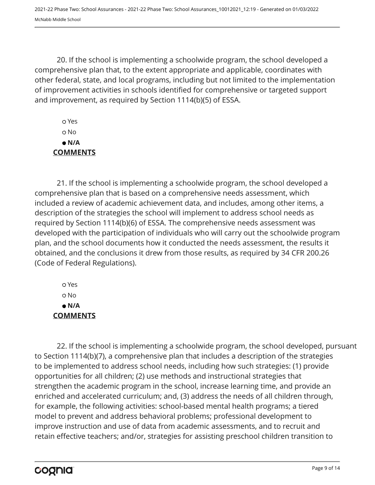20. If the school is implementing a schoolwide program, the school developed a comprehensive plan that, to the extent appropriate and applicable, coordinates with other federal, state, and local programs, including but not limited to the implementation of improvement activities in schools identified for comprehensive or targeted support and improvement, as required by Section 1114(b)(5) of ESSA.

 Yes No  **N/A COMMENTS**

21. If the school is implementing a schoolwide program, the school developed a comprehensive plan that is based on a comprehensive needs assessment, which included a review of academic achievement data, and includes, among other items, a description of the strategies the school will implement to address school needs as required by Section 1114(b)(6) of ESSA. The comprehensive needs assessment was developed with the participation of individuals who will carry out the schoolwide program plan, and the school documents how it conducted the needs assessment, the results it obtained, and the conclusions it drew from those results, as required by 34 CFR 200.26 (Code of Federal Regulations).

 Yes No  **N/A COMMENTS**

22. If the school is implementing a schoolwide program, the school developed, pursuant to Section 1114(b)(7), a comprehensive plan that includes a description of the strategies to be implemented to address school needs, including how such strategies: (1) provide opportunities for all children; (2) use methods and instructional strategies that strengthen the academic program in the school, increase learning time, and provide an enriched and accelerated curriculum; and, (3) address the needs of all children through, for example, the following activities: school-based mental health programs; a tiered model to prevent and address behavioral problems; professional development to improve instruction and use of data from academic assessments, and to recruit and retain effective teachers; and/or, strategies for assisting preschool children transition to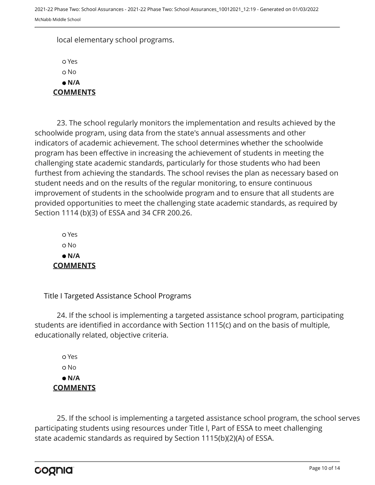local elementary school programs.

 Yes o No  **N/A COMMENTS**

23. The school regularly monitors the implementation and results achieved by the schoolwide program, using data from the state's annual assessments and other indicators of academic achievement. The school determines whether the schoolwide program has been effective in increasing the achievement of students in meeting the challenging state academic standards, particularly for those students who had been furthest from achieving the standards. The school revises the plan as necessary based on student needs and on the results of the regular monitoring, to ensure continuous improvement of students in the schoolwide program and to ensure that all students are provided opportunities to meet the challenging state academic standards, as required by Section 1114 (b)(3) of ESSA and 34 CFR 200.26.

 Yes o No  **N/A COMMENTS**

Title I Targeted Assistance School Programs

24. If the school is implementing a targeted assistance school program, participating students are identified in accordance with Section 1115(c) and on the basis of multiple, educationally related, objective criteria.

 Yes o No  **N/A COMMENTS**

25. If the school is implementing a targeted assistance school program, the school serves participating students using resources under Title I, Part of ESSA to meet challenging state academic standards as required by Section 1115(b)(2)(A) of ESSA.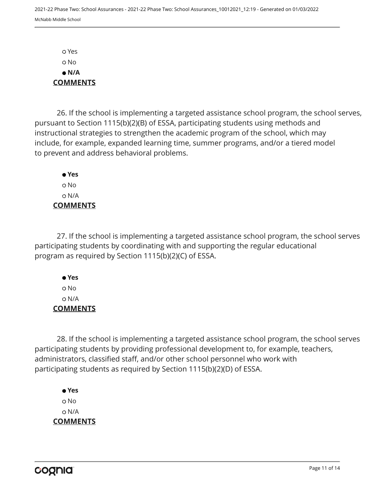Yes No  **N/A COMMENTS**

26. If the school is implementing a targeted assistance school program, the school serves, pursuant to Section 1115(b)(2)(B) of ESSA, participating students using methods and instructional strategies to strengthen the academic program of the school, which may include, for example, expanded learning time, summer programs, and/or a tiered model to prevent and address behavioral problems.

 **Yes** o No N/A **COMMENTS**

27. If the school is implementing a targeted assistance school program, the school serves participating students by coordinating with and supporting the regular educational program as required by Section 1115(b)(2)(C) of ESSA.

 **Yes** No N/A **COMMENTS**

28. If the school is implementing a targeted assistance school program, the school serves participating students by providing professional development to, for example, teachers, administrators, classified staff, and/or other school personnel who work with participating students as required by Section 1115(b)(2)(D) of ESSA.

 **Yes** o No N/A **COMMENTS**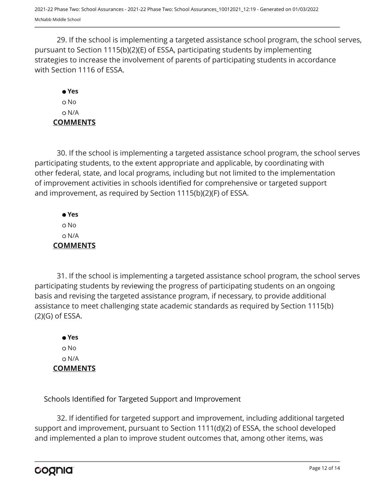29. If the school is implementing a targeted assistance school program, the school serves, pursuant to Section 1115(b)(2)(E) of ESSA, participating students by implementing strategies to increase the involvement of parents of participating students in accordance with Section 1116 of ESSA.

## **Yes** o No N/A **COMMENTS**

30. If the school is implementing a targeted assistance school program, the school serves participating students, to the extent appropriate and applicable, by coordinating with other federal, state, and local programs, including but not limited to the implementation of improvement activities in schools identified for comprehensive or targeted support and improvement, as required by Section 1115(b)(2)(F) of ESSA.

 **Yes** No N/A **COMMENTS**

31. If the school is implementing a targeted assistance school program, the school serves participating students by reviewing the progress of participating students on an ongoing basis and revising the targeted assistance program, if necessary, to provide additional assistance to meet challenging state academic standards as required by Section 1115(b) (2)(G) of ESSA.

 **Yes** o No N/A **COMMENTS**

Schools Identified for Targeted Support and Improvement

32. If identified for targeted support and improvement, including additional targeted support and improvement, pursuant to Section 1111(d)(2) of ESSA, the school developed and implemented a plan to improve student outcomes that, among other items, was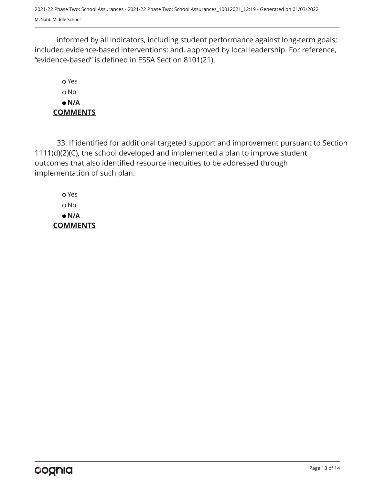2021-22 Phase Two: School Assurances - 2021-22 Phase Two: School Assurances\_10012021\_12:19 - Generated on 01/03/2022 McNabb Middle School

informed by all indicators, including student performance against long-term goals; included evidence-based interventions; and, approved by local leadership. For reference, "evidence-based" is defined in ESSA Section 8101(21).

 Yes o No  **N/A COMMENTS**

33. If identified for additional targeted support and improvement pursuant to Section 1111(d)(2)(C), the school developed and implemented a plan to improve student outcomes that also identified resource inequities to be addressed through implementation of such plan.

 Yes No  **N/A COMMENTS**